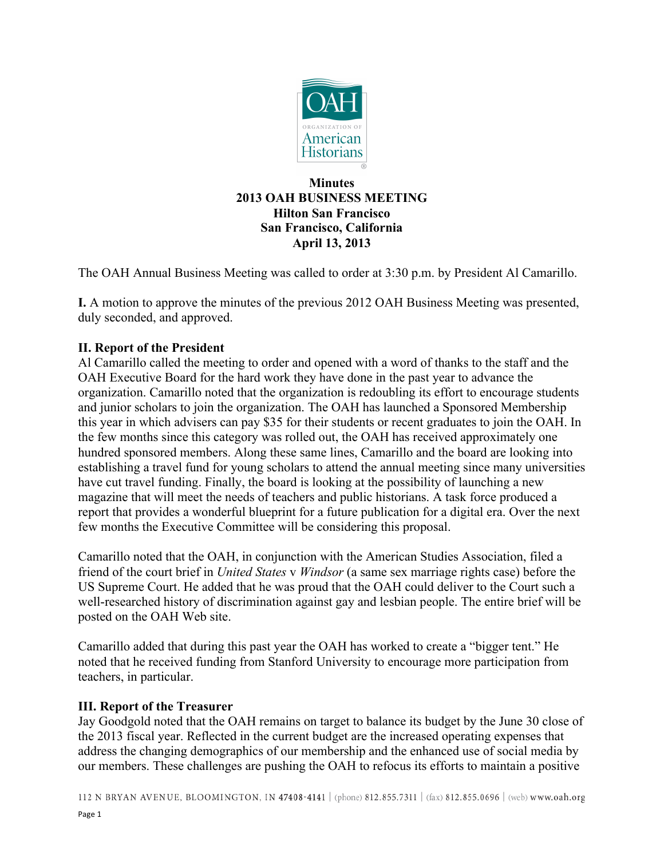

#### **Minutes 2013 OAH BUSINESS MEETING Hilton San Francisco San Francisco, California April 13, 2013**

The OAH Annual Business Meeting was called to order at 3:30 p.m. by President Al Camarillo.

**I.** A motion to approve the minutes of the previous 2012 OAH Business Meeting was presented, duly seconded, and approved.

# **II. Report of the President**

Al Camarillo called the meeting to order and opened with a word of thanks to the staff and the OAH Executive Board for the hard work they have done in the past year to advance the organization. Camarillo noted that the organization is redoubling its effort to encourage students and junior scholars to join the organization. The OAH has launched a Sponsored Membership this year in which advisers can pay \$35 for their students or recent graduates to join the OAH. In the few months since this category was rolled out, the OAH has received approximately one hundred sponsored members. Along these same lines, Camarillo and the board are looking into establishing a travel fund for young scholars to attend the annual meeting since many universities have cut travel funding. Finally, the board is looking at the possibility of launching a new magazine that will meet the needs of teachers and public historians. A task force produced a report that provides a wonderful blueprint for a future publication for a digital era. Over the next few months the Executive Committee will be considering this proposal.

Camarillo noted that the OAH, in conjunction with the American Studies Association, filed a friend of the court brief in *United States* v *Windsor* (a same sex marriage rights case) before the US Supreme Court. He added that he was proud that the OAH could deliver to the Court such a well-researched history of discrimination against gay and lesbian people. The entire brief will be posted on the OAH Web site.

Camarillo added that during this past year the OAH has worked to create a "bigger tent." He noted that he received funding from Stanford University to encourage more participation from teachers, in particular.

# **III. Report of the Treasurer**

Jay Goodgold noted that the OAH remains on target to balance its budget by the June 30 close of the 2013 fiscal year. Reflected in the current budget are the increased operating expenses that address the changing demographics of our membership and the enhanced use of social media by our members. These challenges are pushing the OAH to refocus its efforts to maintain a positive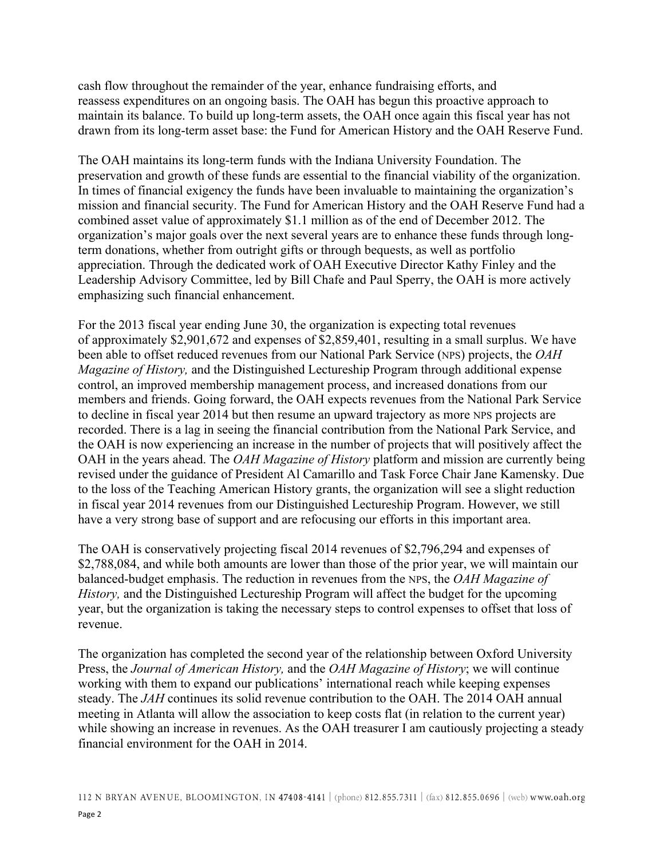cash flow throughout the remainder of the year, enhance fundraising efforts, and reassess expenditures on an ongoing basis. The OAH has begun this proactive approach to maintain its balance. To build up long-term assets, the OAH once again this fiscal year has not drawn from its long-term asset base: the Fund for American History and the OAH Reserve Fund.

The OAH maintains its long-term funds with the Indiana University Foundation. The preservation and growth of these funds are essential to the financial viability of the organization. In times of financial exigency the funds have been invaluable to maintaining the organization's mission and financial security. The Fund for American History and the OAH Reserve Fund had a combined asset value of approximately \$1.1 million as of the end of December 2012. The organization's major goals over the next several years are to enhance these funds through longterm donations, whether from outright gifts or through bequests, as well as portfolio appreciation. Through the dedicated work of OAH Executive Director Kathy Finley and the Leadership Advisory Committee, led by Bill Chafe and Paul Sperry, the OAH is more actively emphasizing such financial enhancement.

For the 2013 fiscal year ending June 30, the organization is expecting total revenues of approximately \$2,901,672 and expenses of \$2,859,401, resulting in a small surplus. We have been able to offset reduced revenues from our National Park Service (NPS) projects, the *OAH Magazine of History,* and the Distinguished Lectureship Program through additional expense control, an improved membership management process, and increased donations from our members and friends. Going forward, the OAH expects revenues from the National Park Service to decline in fiscal year 2014 but then resume an upward trajectory as more NPS projects are recorded. There is a lag in seeing the financial contribution from the National Park Service, and the OAH is now experiencing an increase in the number of projects that will positively affect the OAH in the years ahead. The *OAH Magazine of History* platform and mission are currently being revised under the guidance of President Al Camarillo and Task Force Chair Jane Kamensky. Due to the loss of the Teaching American History grants, the organization will see a slight reduction in fiscal year 2014 revenues from our Distinguished Lectureship Program. However, we still have a very strong base of support and are refocusing our efforts in this important area.

The OAH is conservatively projecting fiscal 2014 revenues of \$2,796,294 and expenses of \$2,788,084, and while both amounts are lower than those of the prior year, we will maintain our balanced-budget emphasis. The reduction in revenues from the NPS, the *OAH Magazine of History,* and the Distinguished Lectureship Program will affect the budget for the upcoming year, but the organization is taking the necessary steps to control expenses to offset that loss of revenue.

The organization has completed the second year of the relationship between Oxford University Press, the *Journal of American History,* and the *OAH Magazine of History*; we will continue working with them to expand our publications' international reach while keeping expenses steady. The *JAH* continues its solid revenue contribution to the OAH. The 2014 OAH annual meeting in Atlanta will allow the association to keep costs flat (in relation to the current year) while showing an increase in revenues. As the OAH treasurer I am cautiously projecting a steady financial environment for the OAH in 2014.

<sup>112</sup> N BRYAN AVENUE, BLOOMINGTON, IN 47408-4141 (phone) 812.855.7311 | (fax) 812.855.0696 | (web) www.oah.org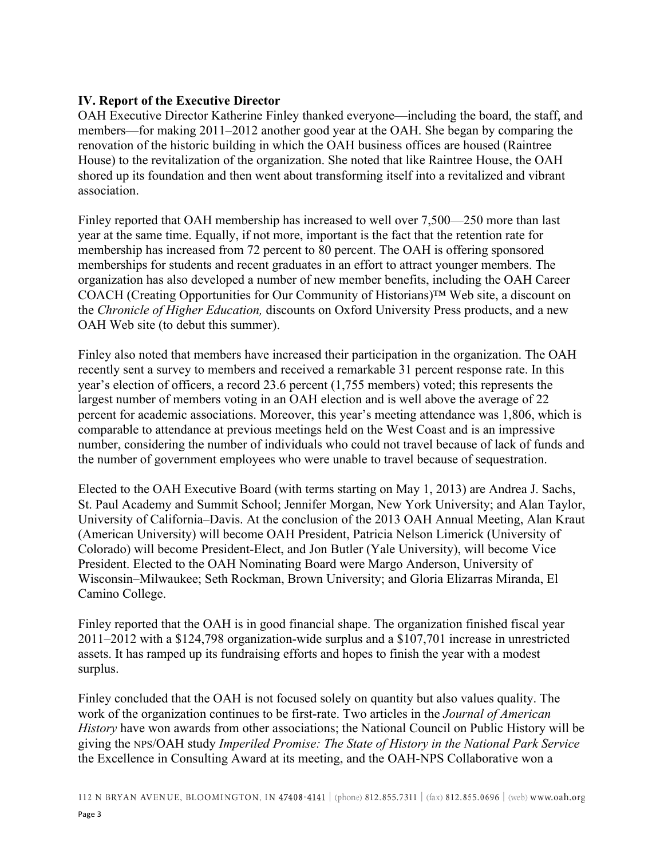#### **IV. Report of the Executive Director**

OAH Executive Director Katherine Finley thanked everyone—including the board, the staff, and members—for making 2011–2012 another good year at the OAH. She began by comparing the renovation of the historic building in which the OAH business offices are housed (Raintree House) to the revitalization of the organization. She noted that like Raintree House, the OAH shored up its foundation and then went about transforming itself into a revitalized and vibrant association.

Finley reported that OAH membership has increased to well over 7,500—250 more than last year at the same time. Equally, if not more, important is the fact that the retention rate for membership has increased from 72 percent to 80 percent. The OAH is offering sponsored memberships for students and recent graduates in an effort to attract younger members. The organization has also developed a number of new member benefits, including the OAH Career COACH (Creating Opportunities for Our Community of Historians)™ Web site, a discount on the *Chronicle of Higher Education,* discounts on Oxford University Press products, and a new OAH Web site (to debut this summer).

Finley also noted that members have increased their participation in the organization. The OAH recently sent a survey to members and received a remarkable 31 percent response rate. In this year's election of officers, a record 23.6 percent (1,755 members) voted; this represents the largest number of members voting in an OAH election and is well above the average of 22 percent for academic associations. Moreover, this year's meeting attendance was 1,806, which is comparable to attendance at previous meetings held on the West Coast and is an impressive number, considering the number of individuals who could not travel because of lack of funds and the number of government employees who were unable to travel because of sequestration.

Elected to the OAH Executive Board (with terms starting on May 1, 2013) are Andrea J. Sachs, St. Paul Academy and Summit School; Jennifer Morgan, New York University; and Alan Taylor, University of California–Davis. At the conclusion of the 2013 OAH Annual Meeting, Alan Kraut (American University) will become OAH President, Patricia Nelson Limerick (University of Colorado) will become President-Elect, and Jon Butler (Yale University), will become Vice President. Elected to the OAH Nominating Board were Margo Anderson, University of Wisconsin–Milwaukee; Seth Rockman, Brown University; and Gloria Elizarras Miranda, El Camino College.

Finley reported that the OAH is in good financial shape. The organization finished fiscal year 2011–2012 with a \$124,798 organization-wide surplus and a \$107,701 increase in unrestricted assets. It has ramped up its fundraising efforts and hopes to finish the year with a modest surplus.

Finley concluded that the OAH is not focused solely on quantity but also values quality. The work of the organization continues to be first-rate. Two articles in the *Journal of American History* have won awards from other associations; the National Council on Public History will be giving the NPS/OAH study *Imperiled Promise: The State of History in the National Park Service* the Excellence in Consulting Award at its meeting, and the OAH-NPS Collaborative won a